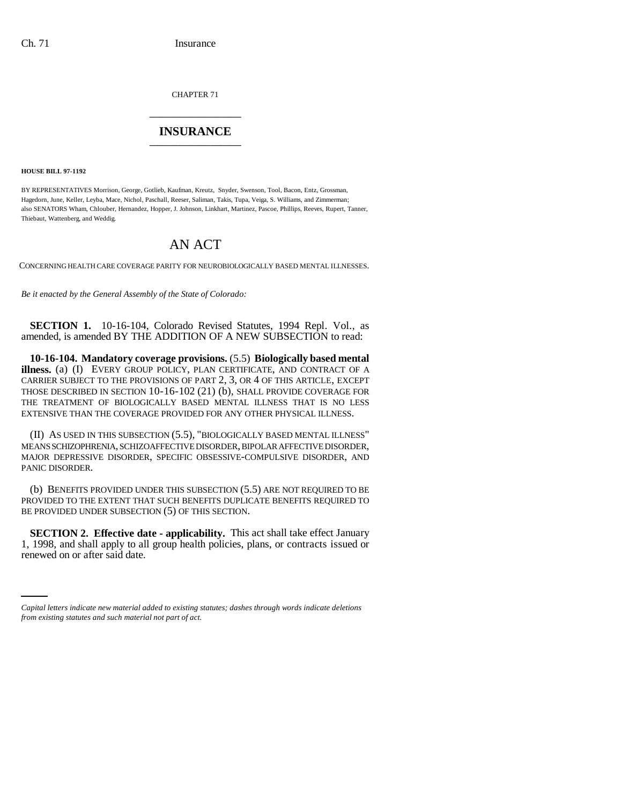CHAPTER 71 \_\_\_\_\_\_\_\_\_\_\_\_\_\_\_

## **INSURANCE** \_\_\_\_\_\_\_\_\_\_\_\_\_\_\_

**HOUSE BILL 97-1192**

BY REPRESENTATIVES Morrison, George, Gotlieb, Kaufman, Kreutz, Snyder, Swenson, Tool, Bacon, Entz, Grossman, Hagedorn, June, Keller, Leyba, Mace, Nichol, Paschall, Reeser, Saliman, Takis, Tupa, Veiga, S. Williams, and Zimmerman; also SENATORS Wham, Chlouber, Hernandez, Hopper, J. Johnson, Linkhart, Martinez, Pascoe, Phillips, Reeves, Rupert, Tanner, Thiebaut, Wattenberg, and Weddig.

## AN ACT

CONCERNING HEALTH CARE COVERAGE PARITY FOR NEUROBIOLOGICALLY BASED MENTAL ILLNESSES.

*Be it enacted by the General Assembly of the State of Colorado:*

**SECTION 1.** 10-16-104, Colorado Revised Statutes, 1994 Repl. Vol., as amended, is amended BY THE ADDITION OF A NEW SUBSECTION to read:

**10-16-104. Mandatory coverage provisions.** (5.5) **Biologically based mental illness.** (a) (I) EVERY GROUP POLICY, PLAN CERTIFICATE, AND CONTRACT OF A CARRIER SUBJECT TO THE PROVISIONS OF PART 2, 3, OR 4 OF THIS ARTICLE, EXCEPT THOSE DESCRIBED IN SECTION 10-16-102 (21) (b), SHALL PROVIDE COVERAGE FOR THE TREATMENT OF BIOLOGICALLY BASED MENTAL ILLNESS THAT IS NO LESS EXTENSIVE THAN THE COVERAGE PROVIDED FOR ANY OTHER PHYSICAL ILLNESS.

(II) AS USED IN THIS SUBSECTION (5.5), "BIOLOGICALLY BASED MENTAL ILLNESS" MEANS SCHIZOPHRENIA, SCHIZOAFFECTIVE DISORDER, BIPOLAR AFFECTIVE DISORDER, MAJOR DEPRESSIVE DISORDER, SPECIFIC OBSESSIVE-COMPULSIVE DISORDER, AND PANIC DISORDER.

(b) BENEFITS PROVIDED UNDER THIS SUBSECTION (5.5) ARE NOT REQUIRED TO BE PROVIDED TO THE EXTENT THAT SUCH BENEFITS DUPLICATE BENEFITS REQUIRED TO BE PROVIDED UNDER SUBSECTION (5) OF THIS SECTION.

1, 1998, and shall apply to all group health policies, plans, or contracts issued or **SECTION 2. Effective date - applicability.** This act shall take effect January renewed on or after said date.

*Capital letters indicate new material added to existing statutes; dashes through words indicate deletions from existing statutes and such material not part of act.*